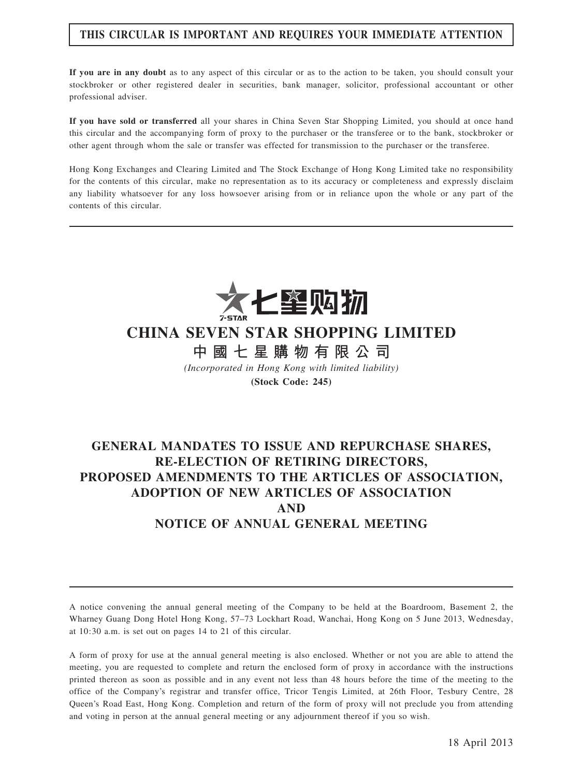## THIS CIRCULAR IS IMPORTANT AND REQUIRES YOUR IMMEDIATE ATTENTION

If you are in any doubt as to any aspect of this circular or as to the action to be taken, you should consult your stockbroker or other registered dealer in securities, bank manager, solicitor, professional accountant or other professional adviser.

If you have sold or transferred all your shares in China Seven Star Shopping Limited, you should at once hand this circular and the accompanying form of proxy to the purchaser or the transferee or to the bank, stockbroker or other agent through whom the sale or transfer was effected for transmission to the purchaser or the transferee.

Hong Kong Exchanges and Clearing Limited and The Stock Exchange of Hong Kong Limited take no responsibility for the contents of this circular, make no representation as to its accuracy or completeness and expressly disclaim any liability whatsoever for any loss howsoever arising from or in reliance upon the whole or any part of the contents of this circular.



# CHINA SEVEN STAR SHOPPING LIMITED

中 國 七 星 購 物 有 限 公 司

(Incorporated in Hong Kong with limited liability) (Stock Code: 245)

# GENERAL MANDATES TO ISSUE AND REPURCHASE SHARES, RE-ELECTION OF RETIRING DIRECTORS, PROPOSED AMENDMENTS TO THE ARTICLES OF ASSOCIATION, ADOPTION OF NEW ARTICLES OF ASSOCIATION AND NOTICE OF ANNUAL GENERAL MEETING

A notice convening the annual general meeting of the Company to be held at the Boardroom, Basement 2, the Wharney Guang Dong Hotel Hong Kong, 57–73 Lockhart Road, Wanchai, Hong Kong on 5 June 2013, Wednesday, at 10:30 a.m. is set out on pages 14 to 21 of this circular.

A form of proxy for use at the annual general meeting is also enclosed. Whether or not you are able to attend the meeting, you are requested to complete and return the enclosed form of proxy in accordance with the instructions printed thereon as soon as possible and in any event not less than 48 hours before the time of the meeting to the office of the Company's registrar and transfer office, Tricor Tengis Limited, at 26th Floor, Tesbury Centre, 28 Queen's Road East, Hong Kong. Completion and return of the form of proxy will not preclude you from attending and voting in person at the annual general meeting or any adjournment thereof if you so wish.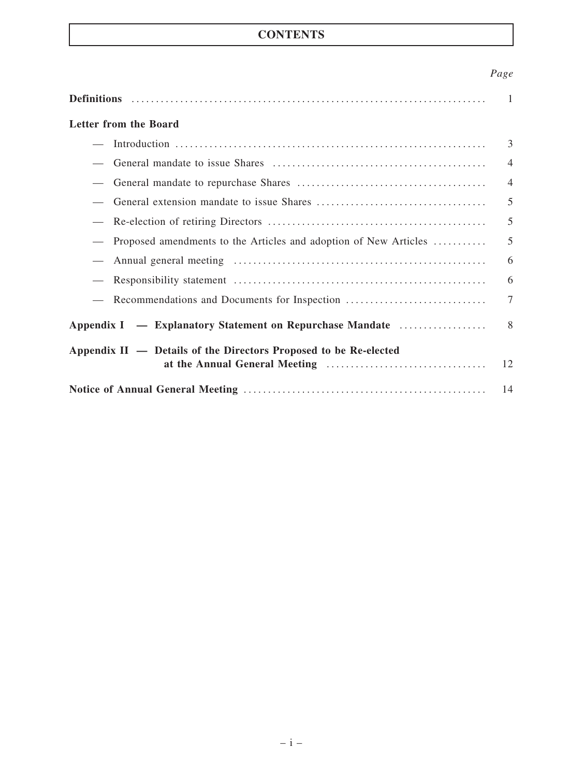# **CONTENTS**

# Page

|                                                                  | $\overline{1}$ |
|------------------------------------------------------------------|----------------|
| <b>Letter from the Board</b>                                     |                |
|                                                                  | 3              |
|                                                                  | $\overline{4}$ |
|                                                                  | $\overline{4}$ |
|                                                                  | 5              |
|                                                                  | 5              |
| Proposed amendments to the Articles and adoption of New Articles | 5              |
|                                                                  | 6              |
|                                                                  | 6              |
| Recommendations and Documents for Inspection                     | $\overline{7}$ |
| Appendix I — Explanatory Statement on Repurchase Mandate         | 8              |
| Appendix II — Details of the Directors Proposed to be Re-elected | 12             |
|                                                                  | 14             |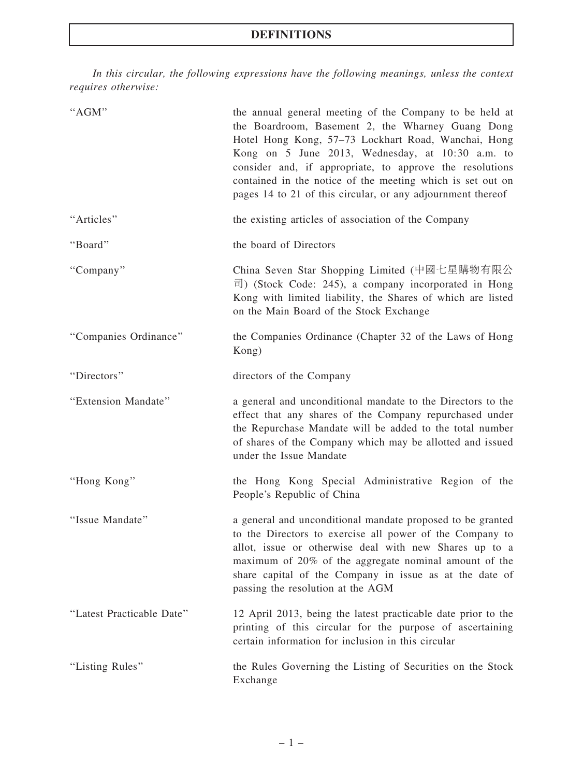In this circular, the following expressions have the following meanings, unless the context requires otherwise:

| "AGM"                     | the annual general meeting of the Company to be held at<br>the Boardroom, Basement 2, the Wharney Guang Dong<br>Hotel Hong Kong, 57-73 Lockhart Road, Wanchai, Hong<br>Kong on 5 June 2013, Wednesday, at 10:30 a.m. to<br>consider and, if appropriate, to approve the resolutions<br>contained in the notice of the meeting which is set out on<br>pages 14 to 21 of this circular, or any adjournment thereof |
|---------------------------|------------------------------------------------------------------------------------------------------------------------------------------------------------------------------------------------------------------------------------------------------------------------------------------------------------------------------------------------------------------------------------------------------------------|
| "Articles"                | the existing articles of association of the Company                                                                                                                                                                                                                                                                                                                                                              |
| "Board"                   | the board of Directors                                                                                                                                                                                                                                                                                                                                                                                           |
| "Company"                 | China Seven Star Shopping Limited (中國七星購物有限公<br>$\overline{\mathbb{F}}$ ) (Stock Code: 245), a company incorporated in Hong<br>Kong with limited liability, the Shares of which are listed<br>on the Main Board of the Stock Exchange                                                                                                                                                                            |
| "Companies Ordinance"     | the Companies Ordinance (Chapter 32 of the Laws of Hong<br>Kong)                                                                                                                                                                                                                                                                                                                                                 |
| "Directors"               | directors of the Company                                                                                                                                                                                                                                                                                                                                                                                         |
| "Extension Mandate"       | a general and unconditional mandate to the Directors to the<br>effect that any shares of the Company repurchased under<br>the Repurchase Mandate will be added to the total number<br>of shares of the Company which may be allotted and issued<br>under the Issue Mandate                                                                                                                                       |
| "Hong Kong"               | the Hong Kong Special Administrative Region of the<br>People's Republic of China                                                                                                                                                                                                                                                                                                                                 |
| "Issue Mandate"           | a general and unconditional mandate proposed to be granted<br>to the Directors to exercise all power of the Company to<br>allot, issue or otherwise deal with new Shares up to a<br>maximum of 20% of the aggregate nominal amount of the<br>share capital of the Company in issue as at the date of<br>passing the resolution at the AGM                                                                        |
| "Latest Practicable Date" | 12 April 2013, being the latest practicable date prior to the<br>printing of this circular for the purpose of ascertaining<br>certain information for inclusion in this circular                                                                                                                                                                                                                                 |
| "Listing Rules"           | the Rules Governing the Listing of Securities on the Stock<br>Exchange                                                                                                                                                                                                                                                                                                                                           |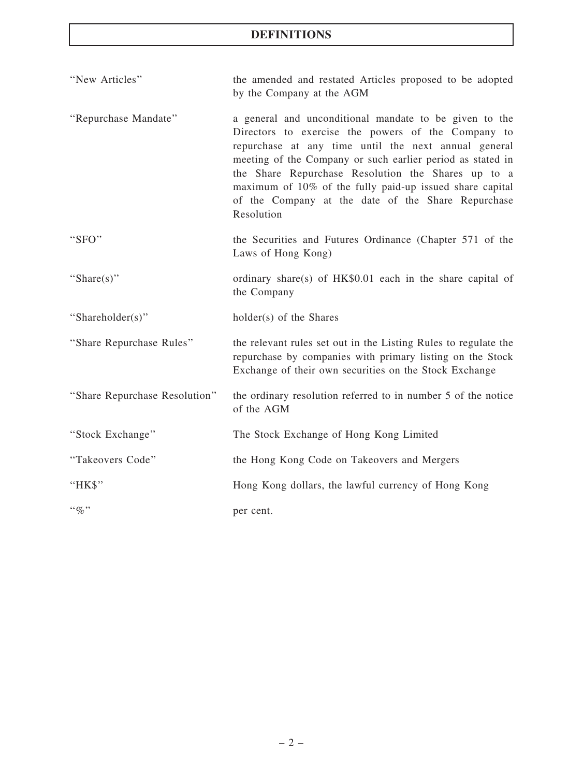# DEFINITIONS

| "New Articles"                | the amended and restated Articles proposed to be adopted<br>by the Company at the AGM                                                                                                                                                                                                                                                                                                                                    |
|-------------------------------|--------------------------------------------------------------------------------------------------------------------------------------------------------------------------------------------------------------------------------------------------------------------------------------------------------------------------------------------------------------------------------------------------------------------------|
| "Repurchase Mandate"          | a general and unconditional mandate to be given to the<br>Directors to exercise the powers of the Company to<br>repurchase at any time until the next annual general<br>meeting of the Company or such earlier period as stated in<br>the Share Repurchase Resolution the Shares up to a<br>maximum of 10% of the fully paid-up issued share capital<br>of the Company at the date of the Share Repurchase<br>Resolution |
| "SFO"                         | the Securities and Futures Ordinance (Chapter 571 of the<br>Laws of Hong Kong)                                                                                                                                                                                                                                                                                                                                           |
| "Share $(s)$ "                | ordinary share(s) of HK\$0.01 each in the share capital of<br>the Company                                                                                                                                                                                                                                                                                                                                                |
| "Shareholder(s)"              | holder(s) of the Shares                                                                                                                                                                                                                                                                                                                                                                                                  |
| "Share Repurchase Rules"      | the relevant rules set out in the Listing Rules to regulate the<br>repurchase by companies with primary listing on the Stock<br>Exchange of their own securities on the Stock Exchange                                                                                                                                                                                                                                   |
| "Share Repurchase Resolution" | the ordinary resolution referred to in number 5 of the notice<br>of the AGM                                                                                                                                                                                                                                                                                                                                              |
| "Stock Exchange"              | The Stock Exchange of Hong Kong Limited                                                                                                                                                                                                                                                                                                                                                                                  |
| "Takeovers Code"              | the Hong Kong Code on Takeovers and Mergers                                                                                                                                                                                                                                                                                                                                                                              |
| "HK\$"                        | Hong Kong dollars, the lawful currency of Hong Kong                                                                                                                                                                                                                                                                                                                                                                      |
| $\cdot \cdot \phi_0$ "        | per cent.                                                                                                                                                                                                                                                                                                                                                                                                                |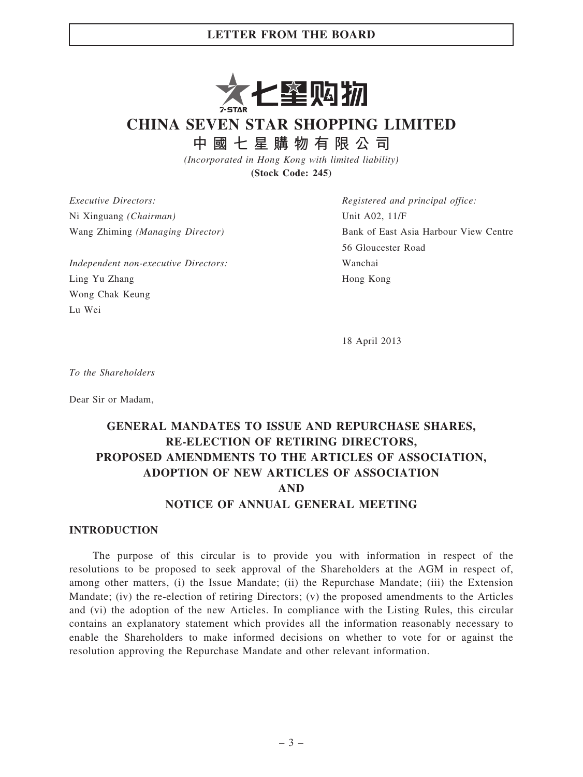

CHINA SEVEN STAR SHOPPING LIMITED

中 國 七 星 購 物 有 限 公 司

(Incorporated in Hong Kong with limited liability) (Stock Code: 245)

Executive Directors: Ni Xinguang (Chairman) Wang Zhiming (Managing Director)

Independent non-executive Directors: Ling Yu Zhang Wong Chak Keung Lu Wei

Registered and principal office: Unit A02, 11/F Bank of East Asia Harbour View Centre 56 Gloucester Road Wanchai Hong Kong

18 April 2013

To the Shareholders

Dear Sir or Madam,

# GENERAL MANDATES TO ISSUE AND REPURCHASE SHARES, RE-ELECTION OF RETIRING DIRECTORS, PROPOSED AMENDMENTS TO THE ARTICLES OF ASSOCIATION, ADOPTION OF NEW ARTICLES OF ASSOCIATION AND

### NOTICE OF ANNUAL GENERAL MEETING

#### INTRODUCTION

The purpose of this circular is to provide you with information in respect of the resolutions to be proposed to seek approval of the Shareholders at the AGM in respect of, among other matters, (i) the Issue Mandate; (ii) the Repurchase Mandate; (iii) the Extension Mandate; (iv) the re-election of retiring Directors; (v) the proposed amendments to the Articles and (vi) the adoption of the new Articles. In compliance with the Listing Rules, this circular contains an explanatory statement which provides all the information reasonably necessary to enable the Shareholders to make informed decisions on whether to vote for or against the resolution approving the Repurchase Mandate and other relevant information.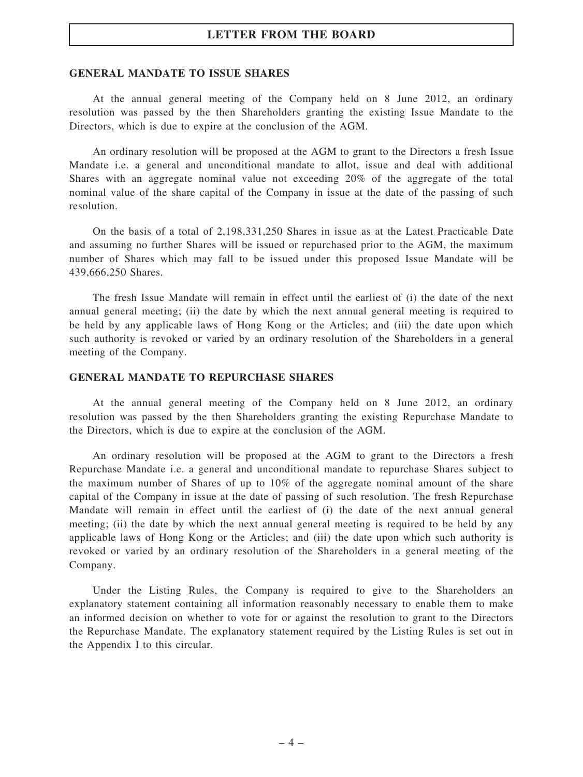#### GENERAL MANDATE TO ISSUE SHARES

At the annual general meeting of the Company held on 8 June 2012, an ordinary resolution was passed by the then Shareholders granting the existing Issue Mandate to the Directors, which is due to expire at the conclusion of the AGM.

An ordinary resolution will be proposed at the AGM to grant to the Directors a fresh Issue Mandate i.e. a general and unconditional mandate to allot, issue and deal with additional Shares with an aggregate nominal value not exceeding 20% of the aggregate of the total nominal value of the share capital of the Company in issue at the date of the passing of such resolution.

On the basis of a total of 2,198,331,250 Shares in issue as at the Latest Practicable Date and assuming no further Shares will be issued or repurchased prior to the AGM, the maximum number of Shares which may fall to be issued under this proposed Issue Mandate will be 439,666,250 Shares.

The fresh Issue Mandate will remain in effect until the earliest of (i) the date of the next annual general meeting; (ii) the date by which the next annual general meeting is required to be held by any applicable laws of Hong Kong or the Articles; and (iii) the date upon which such authority is revoked or varied by an ordinary resolution of the Shareholders in a general meeting of the Company.

#### GENERAL MANDATE TO REPURCHASE SHARES

At the annual general meeting of the Company held on 8 June 2012, an ordinary resolution was passed by the then Shareholders granting the existing Repurchase Mandate to the Directors, which is due to expire at the conclusion of the AGM.

An ordinary resolution will be proposed at the AGM to grant to the Directors a fresh Repurchase Mandate i.e. a general and unconditional mandate to repurchase Shares subject to the maximum number of Shares of up to 10% of the aggregate nominal amount of the share capital of the Company in issue at the date of passing of such resolution. The fresh Repurchase Mandate will remain in effect until the earliest of (i) the date of the next annual general meeting; (ii) the date by which the next annual general meeting is required to be held by any applicable laws of Hong Kong or the Articles; and (iii) the date upon which such authority is revoked or varied by an ordinary resolution of the Shareholders in a general meeting of the Company.

Under the Listing Rules, the Company is required to give to the Shareholders an explanatory statement containing all information reasonably necessary to enable them to make an informed decision on whether to vote for or against the resolution to grant to the Directors the Repurchase Mandate. The explanatory statement required by the Listing Rules is set out in the Appendix I to this circular.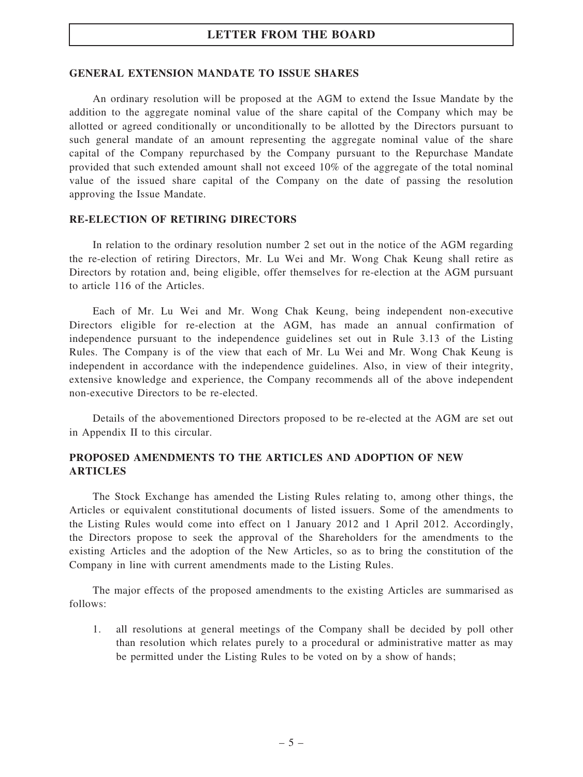#### GENERAL EXTENSION MANDATE TO ISSUE SHARES

An ordinary resolution will be proposed at the AGM to extend the Issue Mandate by the addition to the aggregate nominal value of the share capital of the Company which may be allotted or agreed conditionally or unconditionally to be allotted by the Directors pursuant to such general mandate of an amount representing the aggregate nominal value of the share capital of the Company repurchased by the Company pursuant to the Repurchase Mandate provided that such extended amount shall not exceed 10% of the aggregate of the total nominal value of the issued share capital of the Company on the date of passing the resolution approving the Issue Mandate.

#### RE-ELECTION OF RETIRING DIRECTORS

In relation to the ordinary resolution number 2 set out in the notice of the AGM regarding the re-election of retiring Directors, Mr. Lu Wei and Mr. Wong Chak Keung shall retire as Directors by rotation and, being eligible, offer themselves for re-election at the AGM pursuant to article 116 of the Articles.

Each of Mr. Lu Wei and Mr. Wong Chak Keung, being independent non-executive Directors eligible for re-election at the AGM, has made an annual confirmation of independence pursuant to the independence guidelines set out in Rule 3.13 of the Listing Rules. The Company is of the view that each of Mr. Lu Wei and Mr. Wong Chak Keung is independent in accordance with the independence guidelines. Also, in view of their integrity, extensive knowledge and experience, the Company recommends all of the above independent non-executive Directors to be re-elected.

Details of the abovementioned Directors proposed to be re-elected at the AGM are set out in Appendix II to this circular.

### PROPOSED AMENDMENTS TO THE ARTICLES AND ADOPTION OF NEW ARTICLES

The Stock Exchange has amended the Listing Rules relating to, among other things, the Articles or equivalent constitutional documents of listed issuers. Some of the amendments to the Listing Rules would come into effect on 1 January 2012 and 1 April 2012. Accordingly, the Directors propose to seek the approval of the Shareholders for the amendments to the existing Articles and the adoption of the New Articles, so as to bring the constitution of the Company in line with current amendments made to the Listing Rules.

The major effects of the proposed amendments to the existing Articles are summarised as follows:

1. all resolutions at general meetings of the Company shall be decided by poll other than resolution which relates purely to a procedural or administrative matter as may be permitted under the Listing Rules to be voted on by a show of hands;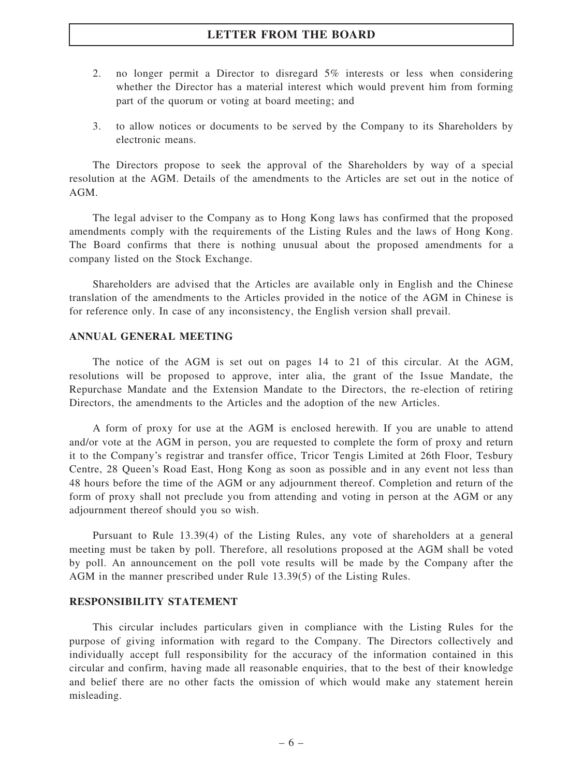- 2. no longer permit a Director to disregard 5% interests or less when considering whether the Director has a material interest which would prevent him from forming part of the quorum or voting at board meeting; and
- 3. to allow notices or documents to be served by the Company to its Shareholders by electronic means.

The Directors propose to seek the approval of the Shareholders by way of a special resolution at the AGM. Details of the amendments to the Articles are set out in the notice of AGM.

The legal adviser to the Company as to Hong Kong laws has confirmed that the proposed amendments comply with the requirements of the Listing Rules and the laws of Hong Kong. The Board confirms that there is nothing unusual about the proposed amendments for a company listed on the Stock Exchange.

Shareholders are advised that the Articles are available only in English and the Chinese translation of the amendments to the Articles provided in the notice of the AGM in Chinese is for reference only. In case of any inconsistency, the English version shall prevail.

### ANNUAL GENERAL MEETING

The notice of the AGM is set out on pages 14 to 21 of this circular. At the AGM, resolutions will be proposed to approve, inter alia, the grant of the Issue Mandate, the Repurchase Mandate and the Extension Mandate to the Directors, the re-election of retiring Directors, the amendments to the Articles and the adoption of the new Articles.

A form of proxy for use at the AGM is enclosed herewith. If you are unable to attend and/or vote at the AGM in person, you are requested to complete the form of proxy and return it to the Company's registrar and transfer office, Tricor Tengis Limited at 26th Floor, Tesbury Centre, 28 Queen's Road East, Hong Kong as soon as possible and in any event not less than 48 hours before the time of the AGM or any adjournment thereof. Completion and return of the form of proxy shall not preclude you from attending and voting in person at the AGM or any adjournment thereof should you so wish.

Pursuant to Rule 13.39(4) of the Listing Rules, any vote of shareholders at a general meeting must be taken by poll. Therefore, all resolutions proposed at the AGM shall be voted by poll. An announcement on the poll vote results will be made by the Company after the AGM in the manner prescribed under Rule 13.39(5) of the Listing Rules.

#### RESPONSIBILITY STATEMENT

This circular includes particulars given in compliance with the Listing Rules for the purpose of giving information with regard to the Company. The Directors collectively and individually accept full responsibility for the accuracy of the information contained in this circular and confirm, having made all reasonable enquiries, that to the best of their knowledge and belief there are no other facts the omission of which would make any statement herein misleading.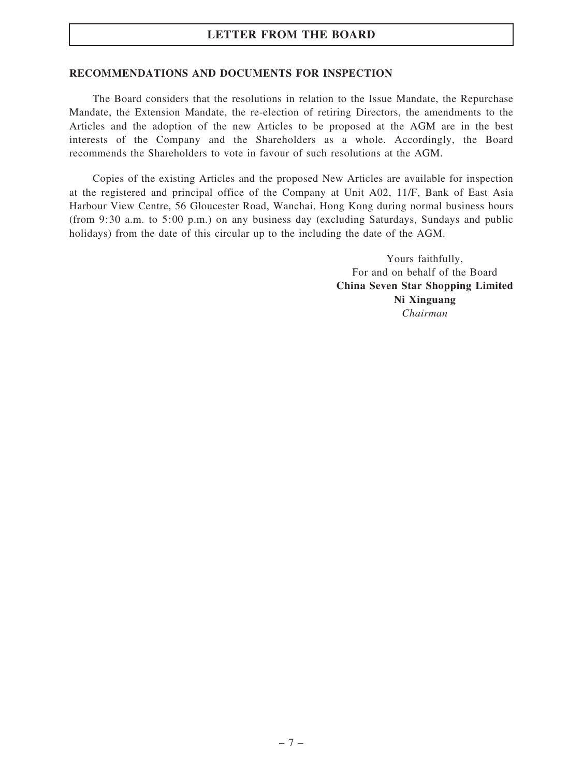### RECOMMENDATIONS AND DOCUMENTS FOR INSPECTION

The Board considers that the resolutions in relation to the Issue Mandate, the Repurchase Mandate, the Extension Mandate, the re-election of retiring Directors, the amendments to the Articles and the adoption of the new Articles to be proposed at the AGM are in the best interests of the Company and the Shareholders as a whole. Accordingly, the Board recommends the Shareholders to vote in favour of such resolutions at the AGM.

Copies of the existing Articles and the proposed New Articles are available for inspection at the registered and principal office of the Company at Unit A02, 11/F, Bank of East Asia Harbour View Centre, 56 Gloucester Road, Wanchai, Hong Kong during normal business hours (from 9:30 a.m. to 5:00 p.m.) on any business day (excluding Saturdays, Sundays and public holidays) from the date of this circular up to the including the date of the AGM.

> Yours faithfully, For and on behalf of the Board China Seven Star Shopping Limited Ni Xinguang Chairman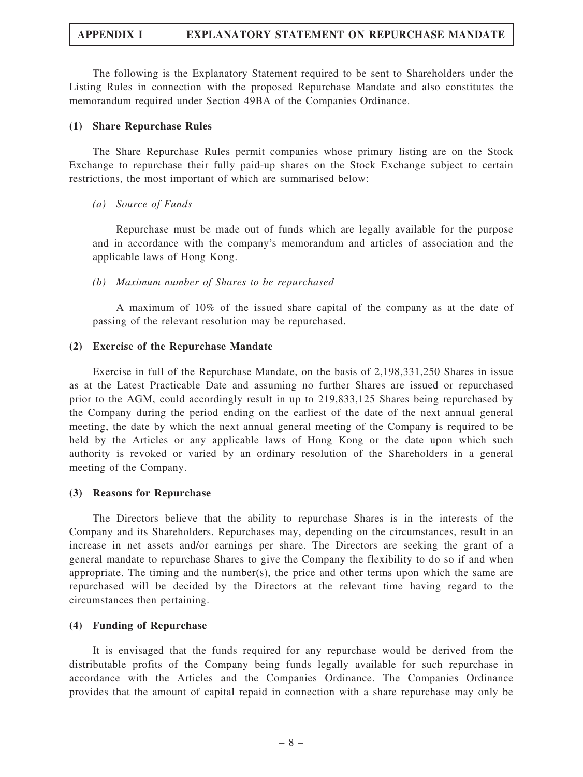The following is the Explanatory Statement required to be sent to Shareholders under the Listing Rules in connection with the proposed Repurchase Mandate and also constitutes the memorandum required under Section 49BA of the Companies Ordinance.

#### (1) Share Repurchase Rules

The Share Repurchase Rules permit companies whose primary listing are on the Stock Exchange to repurchase their fully paid-up shares on the Stock Exchange subject to certain restrictions, the most important of which are summarised below:

#### (a) Source of Funds

Repurchase must be made out of funds which are legally available for the purpose and in accordance with the company's memorandum and articles of association and the applicable laws of Hong Kong.

#### (b) Maximum number of Shares to be repurchased

A maximum of 10% of the issued share capital of the company as at the date of passing of the relevant resolution may be repurchased.

#### (2) Exercise of the Repurchase Mandate

Exercise in full of the Repurchase Mandate, on the basis of 2,198,331,250 Shares in issue as at the Latest Practicable Date and assuming no further Shares are issued or repurchased prior to the AGM, could accordingly result in up to 219,833,125 Shares being repurchased by the Company during the period ending on the earliest of the date of the next annual general meeting, the date by which the next annual general meeting of the Company is required to be held by the Articles or any applicable laws of Hong Kong or the date upon which such authority is revoked or varied by an ordinary resolution of the Shareholders in a general meeting of the Company.

#### (3) Reasons for Repurchase

The Directors believe that the ability to repurchase Shares is in the interests of the Company and its Shareholders. Repurchases may, depending on the circumstances, result in an increase in net assets and/or earnings per share. The Directors are seeking the grant of a general mandate to repurchase Shares to give the Company the flexibility to do so if and when appropriate. The timing and the number(s), the price and other terms upon which the same are repurchased will be decided by the Directors at the relevant time having regard to the circumstances then pertaining.

#### (4) Funding of Repurchase

It is envisaged that the funds required for any repurchase would be derived from the distributable profits of the Company being funds legally available for such repurchase in accordance with the Articles and the Companies Ordinance. The Companies Ordinance provides that the amount of capital repaid in connection with a share repurchase may only be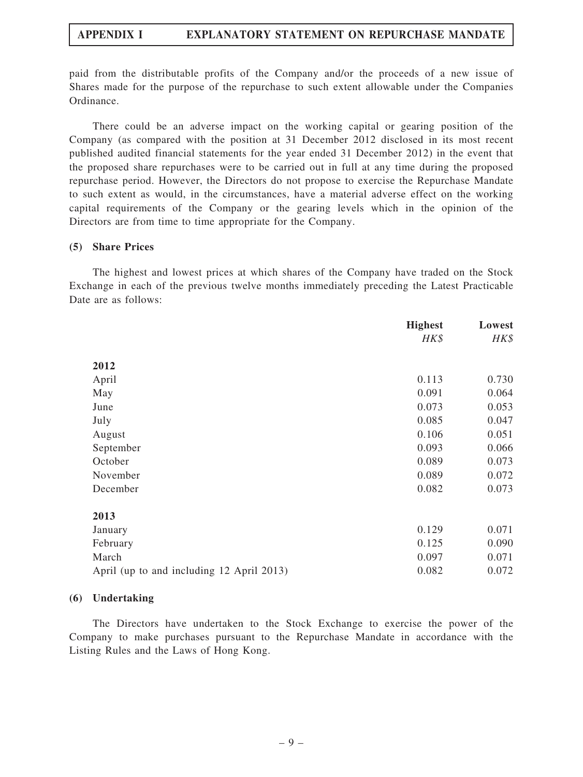paid from the distributable profits of the Company and/or the proceeds of a new issue of Shares made for the purpose of the repurchase to such extent allowable under the Companies Ordinance.

There could be an adverse impact on the working capital or gearing position of the Company (as compared with the position at 31 December 2012 disclosed in its most recent published audited financial statements for the year ended 31 December 2012) in the event that the proposed share repurchases were to be carried out in full at any time during the proposed repurchase period. However, the Directors do not propose to exercise the Repurchase Mandate to such extent as would, in the circumstances, have a material adverse effect on the working capital requirements of the Company or the gearing levels which in the opinion of the Directors are from time to time appropriate for the Company.

#### (5) Share Prices

The highest and lowest prices at which shares of the Company have traded on the Stock Exchange in each of the previous twelve months immediately preceding the Latest Practicable Date are as follows:

|                                           | <b>Highest</b> | Lowest |
|-------------------------------------------|----------------|--------|
|                                           | HK\$           | HK\$   |
|                                           |                |        |
| 2012                                      |                |        |
| April                                     | 0.113          | 0.730  |
| May                                       | 0.091          | 0.064  |
| June                                      | 0.073          | 0.053  |
| July                                      | 0.085          | 0.047  |
| August                                    | 0.106          | 0.051  |
| September                                 | 0.093          | 0.066  |
| October                                   | 0.089          | 0.073  |
| November                                  | 0.089          | 0.072  |
| December                                  | 0.082          | 0.073  |
| 2013                                      |                |        |
|                                           |                |        |
| January                                   | 0.129          | 0.071  |
| February                                  | 0.125          | 0.090  |
| March                                     | 0.097          | 0.071  |
| April (up to and including 12 April 2013) | 0.082          | 0.072  |

### (6) Undertaking

The Directors have undertaken to the Stock Exchange to exercise the power of the Company to make purchases pursuant to the Repurchase Mandate in accordance with the Listing Rules and the Laws of Hong Kong.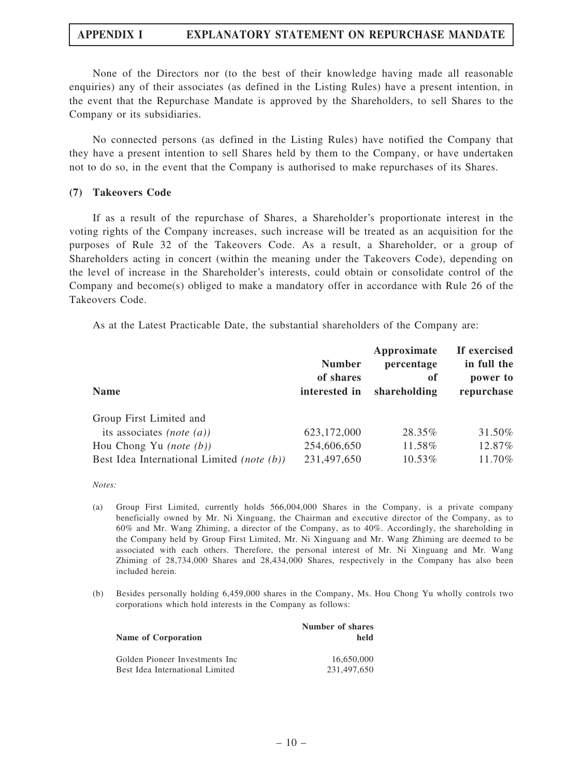None of the Directors nor (to the best of their knowledge having made all reasonable enquiries) any of their associates (as defined in the Listing Rules) have a present intention, in the event that the Repurchase Mandate is approved by the Shareholders, to sell Shares to the Company or its subsidiaries.

No connected persons (as defined in the Listing Rules) have notified the Company that they have a present intention to sell Shares held by them to the Company, or have undertaken not to do so, in the event that the Company is authorised to make repurchases of its Shares.

#### (7) Takeovers Code

If as a result of the repurchase of Shares, a Shareholder's proportionate interest in the voting rights of the Company increases, such increase will be treated as an acquisition for the purposes of Rule 32 of the Takeovers Code. As a result, a Shareholder, or a group of Shareholders acting in concert (within the meaning under the Takeovers Code), depending on the level of increase in the Shareholder's interests, could obtain or consolidate control of the Company and become(s) obliged to make a mandatory offer in accordance with Rule 26 of the Takeovers Code.

As at the Latest Practicable Date, the substantial shareholders of the Company are:

| <b>Name</b>                                | <b>Number</b><br>of shares<br>interested in | Approximate<br>percentage<br>of<br>shareholding | If exercised<br>in full the<br>power to<br>repurchase |
|--------------------------------------------|---------------------------------------------|-------------------------------------------------|-------------------------------------------------------|
| Group First Limited and                    |                                             |                                                 |                                                       |
| its associates (note $(a)$ )               | 623,172,000                                 | 28.35%                                          | 31.50%                                                |
| Hou Chong Yu (note $(b)$ )                 | 254,606,650                                 | 11.58%                                          | 12.87%                                                |
| Best Idea International Limited (note (b)) | 231,497,650                                 | 10.53%                                          | 11.70%                                                |

Notes:

- (a) Group First Limited, currently holds 566,004,000 Shares in the Company, is a private company beneficially owned by Mr. Ni Xinguang, the Chairman and executive director of the Company, as to 60% and Mr. Wang Zhiming, a director of the Company, as to 40%. Accordingly, the shareholding in the Company held by Group First Limited, Mr. Ni Xinguang and Mr. Wang Zhiming are deemed to be associated with each others. Therefore, the personal interest of Mr. Ni Xinguang and Mr. Wang Zhiming of 28,734,000 Shares and 28,434,000 Shares, respectively in the Company has also been included herein.
- (b) Besides personally holding 6,459,000 shares in the Company, Ms. Hou Chong Yu wholly controls two corporations which hold interests in the Company as follows:

| Name of Corporation             | Number of shares<br>held |
|---------------------------------|--------------------------|
| Golden Pioneer Investments Inc. | 16.650.000               |
| Best Idea International Limited | 231,497,650              |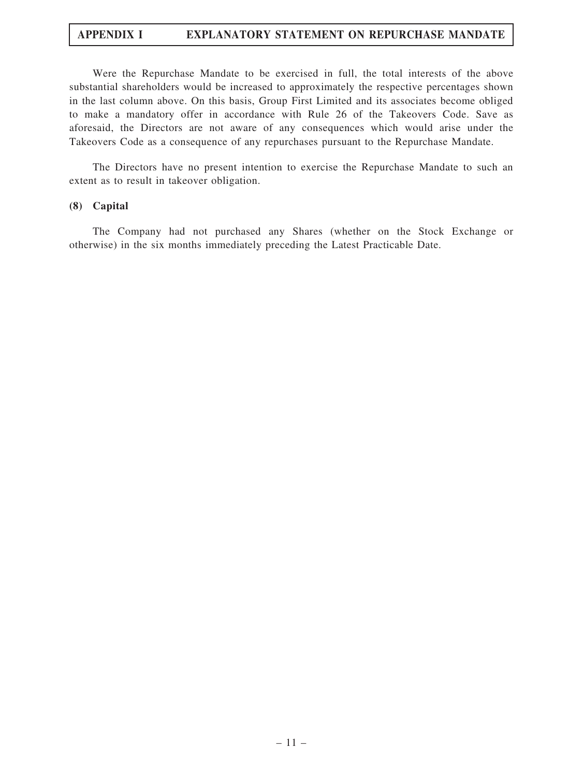Were the Repurchase Mandate to be exercised in full, the total interests of the above substantial shareholders would be increased to approximately the respective percentages shown in the last column above. On this basis, Group First Limited and its associates become obliged to make a mandatory offer in accordance with Rule 26 of the Takeovers Code. Save as aforesaid, the Directors are not aware of any consequences which would arise under the Takeovers Code as a consequence of any repurchases pursuant to the Repurchase Mandate.

The Directors have no present intention to exercise the Repurchase Mandate to such an extent as to result in takeover obligation.

#### (8) Capital

The Company had not purchased any Shares (whether on the Stock Exchange or otherwise) in the six months immediately preceding the Latest Practicable Date.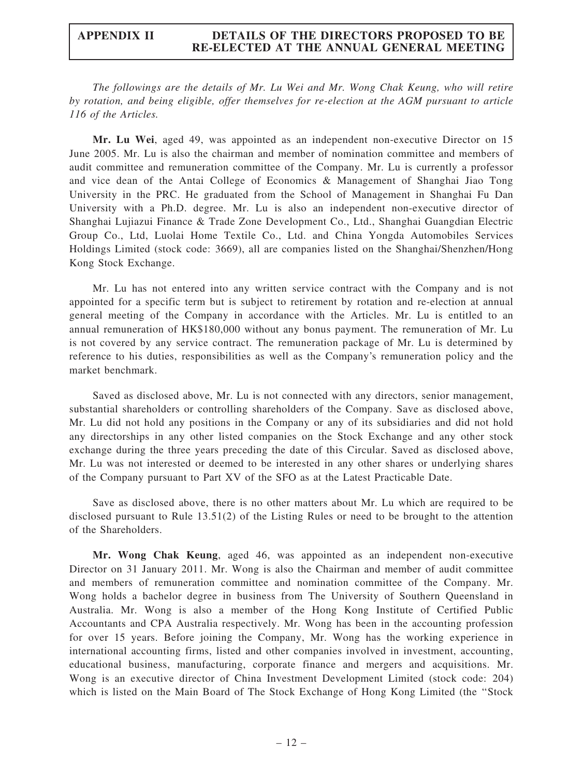### APPENDIX II DETAILS OF THE DIRECTORS PROPOSED TO BE RE-ELECTED AT THE ANNUAL GENERAL MEETING

The followings are the details of Mr. Lu Wei and Mr. Wong Chak Keung, who will retire by rotation, and being eligible, offer themselves for re-election at the AGM pursuant to article 116 of the Articles.

Mr. Lu Wei, aged 49, was appointed as an independent non-executive Director on 15 June 2005. Mr. Lu is also the chairman and member of nomination committee and members of audit committee and remuneration committee of the Company. Mr. Lu is currently a professor and vice dean of the Antai College of Economics & Management of Shanghai Jiao Tong University in the PRC. He graduated from the School of Management in Shanghai Fu Dan University with a Ph.D. degree. Mr. Lu is also an independent non-executive director of Shanghai Lujiazui Finance & Trade Zone Development Co., Ltd., Shanghai Guangdian Electric Group Co., Ltd, Luolai Home Textile Co., Ltd. and China Yongda Automobiles Services Holdings Limited (stock code: 3669), all are companies listed on the Shanghai/Shenzhen/Hong Kong Stock Exchange.

Mr. Lu has not entered into any written service contract with the Company and is not appointed for a specific term but is subject to retirement by rotation and re-election at annual general meeting of the Company in accordance with the Articles. Mr. Lu is entitled to an annual remuneration of HK\$180,000 without any bonus payment. The remuneration of Mr. Lu is not covered by any service contract. The remuneration package of Mr. Lu is determined by reference to his duties, responsibilities as well as the Company's remuneration policy and the market benchmark.

Saved as disclosed above, Mr. Lu is not connected with any directors, senior management, substantial shareholders or controlling shareholders of the Company. Save as disclosed above, Mr. Lu did not hold any positions in the Company or any of its subsidiaries and did not hold any directorships in any other listed companies on the Stock Exchange and any other stock exchange during the three years preceding the date of this Circular. Saved as disclosed above, Mr. Lu was not interested or deemed to be interested in any other shares or underlying shares of the Company pursuant to Part XV of the SFO as at the Latest Practicable Date.

Save as disclosed above, there is no other matters about Mr. Lu which are required to be disclosed pursuant to Rule 13.51(2) of the Listing Rules or need to be brought to the attention of the Shareholders.

Mr. Wong Chak Keung, aged 46, was appointed as an independent non-executive Director on 31 January 2011. Mr. Wong is also the Chairman and member of audit committee and members of remuneration committee and nomination committee of the Company. Mr. Wong holds a bachelor degree in business from The University of Southern Queensland in Australia. Mr. Wong is also a member of the Hong Kong Institute of Certified Public Accountants and CPA Australia respectively. Mr. Wong has been in the accounting profession for over 15 years. Before joining the Company, Mr. Wong has the working experience in international accounting firms, listed and other companies involved in investment, accounting, educational business, manufacturing, corporate finance and mergers and acquisitions. Mr. Wong is an executive director of China Investment Development Limited (stock code: 204) which is listed on the Main Board of The Stock Exchange of Hong Kong Limited (the ''Stock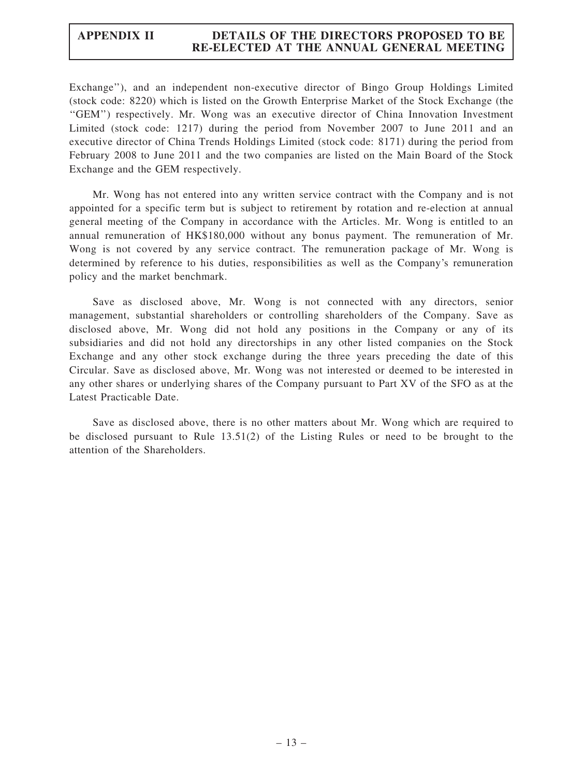### APPENDIX II DETAILS OF THE DIRECTORS PROPOSED TO BE RE-ELECTED AT THE ANNUAL GENERAL MEETING

Exchange''), and an independent non-executive director of Bingo Group Holdings Limited (stock code: 8220) which is listed on the Growth Enterprise Market of the Stock Exchange (the ''GEM'') respectively. Mr. Wong was an executive director of China Innovation Investment Limited (stock code: 1217) during the period from November 2007 to June 2011 and an executive director of China Trends Holdings Limited (stock code: 8171) during the period from February 2008 to June 2011 and the two companies are listed on the Main Board of the Stock Exchange and the GEM respectively.

Mr. Wong has not entered into any written service contract with the Company and is not appointed for a specific term but is subject to retirement by rotation and re-election at annual general meeting of the Company in accordance with the Articles. Mr. Wong is entitled to an annual remuneration of HK\$180,000 without any bonus payment. The remuneration of Mr. Wong is not covered by any service contract. The remuneration package of Mr. Wong is determined by reference to his duties, responsibilities as well as the Company's remuneration policy and the market benchmark.

Save as disclosed above, Mr. Wong is not connected with any directors, senior management, substantial shareholders or controlling shareholders of the Company. Save as disclosed above, Mr. Wong did not hold any positions in the Company or any of its subsidiaries and did not hold any directorships in any other listed companies on the Stock Exchange and any other stock exchange during the three years preceding the date of this Circular. Save as disclosed above, Mr. Wong was not interested or deemed to be interested in any other shares or underlying shares of the Company pursuant to Part XV of the SFO as at the Latest Practicable Date.

Save as disclosed above, there is no other matters about Mr. Wong which are required to be disclosed pursuant to Rule 13.51(2) of the Listing Rules or need to be brought to the attention of the Shareholders.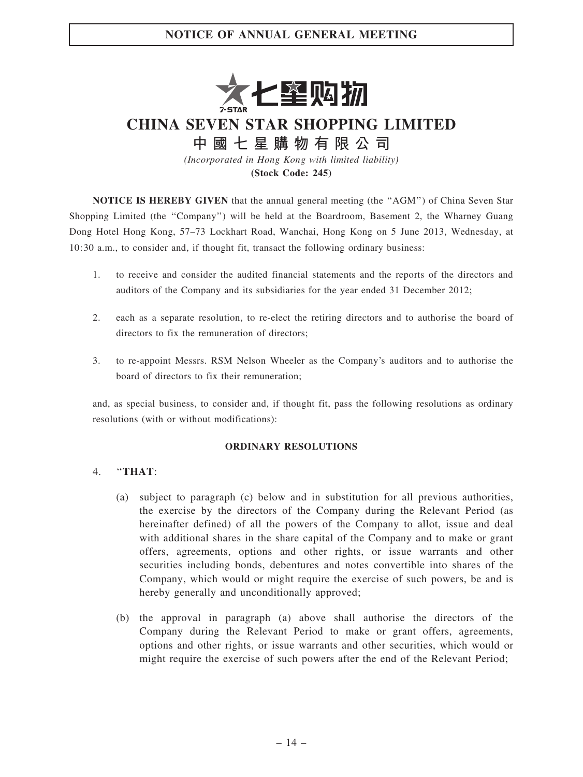

CHINA SEVEN STAR SHOPPING LIMITED

中 國 七 星 購 物 有 限 公 司

(Incorporated in Hong Kong with limited liability) (Stock Code: 245)

NOTICE IS HEREBY GIVEN that the annual general meeting (the ''AGM'') of China Seven Star Shopping Limited (the ''Company'') will be held at the Boardroom, Basement 2, the Wharney Guang Dong Hotel Hong Kong, 57–73 Lockhart Road, Wanchai, Hong Kong on 5 June 2013, Wednesday, at 10:30 a.m., to consider and, if thought fit, transact the following ordinary business:

- 1. to receive and consider the audited financial statements and the reports of the directors and auditors of the Company and its subsidiaries for the year ended 31 December 2012;
- 2. each as a separate resolution, to re-elect the retiring directors and to authorise the board of directors to fix the remuneration of directors;
- 3. to re-appoint Messrs. RSM Nelson Wheeler as the Company's auditors and to authorise the board of directors to fix their remuneration;

and, as special business, to consider and, if thought fit, pass the following resolutions as ordinary resolutions (with or without modifications):

#### ORDINARY RESOLUTIONS

### 4. ''THAT:

- (a) subject to paragraph (c) below and in substitution for all previous authorities, the exercise by the directors of the Company during the Relevant Period (as hereinafter defined) of all the powers of the Company to allot, issue and deal with additional shares in the share capital of the Company and to make or grant offers, agreements, options and other rights, or issue warrants and other securities including bonds, debentures and notes convertible into shares of the Company, which would or might require the exercise of such powers, be and is hereby generally and unconditionally approved;
- (b) the approval in paragraph (a) above shall authorise the directors of the Company during the Relevant Period to make or grant offers, agreements, options and other rights, or issue warrants and other securities, which would or might require the exercise of such powers after the end of the Relevant Period;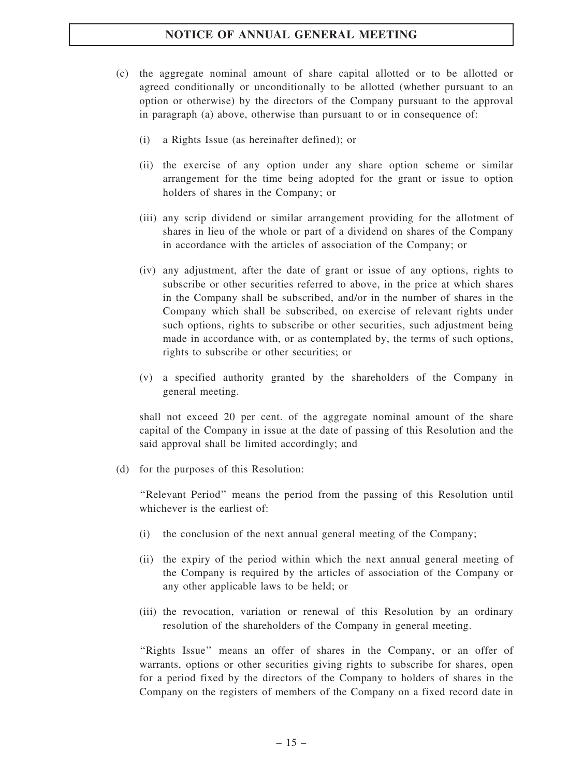- (c) the aggregate nominal amount of share capital allotted or to be allotted or agreed conditionally or unconditionally to be allotted (whether pursuant to an option or otherwise) by the directors of the Company pursuant to the approval in paragraph (a) above, otherwise than pursuant to or in consequence of:
	- (i) a Rights Issue (as hereinafter defined); or
	- (ii) the exercise of any option under any share option scheme or similar arrangement for the time being adopted for the grant or issue to option holders of shares in the Company; or
	- (iii) any scrip dividend or similar arrangement providing for the allotment of shares in lieu of the whole or part of a dividend on shares of the Company in accordance with the articles of association of the Company; or
	- (iv) any adjustment, after the date of grant or issue of any options, rights to subscribe or other securities referred to above, in the price at which shares in the Company shall be subscribed, and/or in the number of shares in the Company which shall be subscribed, on exercise of relevant rights under such options, rights to subscribe or other securities, such adjustment being made in accordance with, or as contemplated by, the terms of such options, rights to subscribe or other securities; or
	- (v) a specified authority granted by the shareholders of the Company in general meeting.

shall not exceed 20 per cent. of the aggregate nominal amount of the share capital of the Company in issue at the date of passing of this Resolution and the said approval shall be limited accordingly; and

(d) for the purposes of this Resolution:

''Relevant Period'' means the period from the passing of this Resolution until whichever is the earliest of:

- (i) the conclusion of the next annual general meeting of the Company;
- (ii) the expiry of the period within which the next annual general meeting of the Company is required by the articles of association of the Company or any other applicable laws to be held; or
- (iii) the revocation, variation or renewal of this Resolution by an ordinary resolution of the shareholders of the Company in general meeting.

''Rights Issue'' means an offer of shares in the Company, or an offer of warrants, options or other securities giving rights to subscribe for shares, open for a period fixed by the directors of the Company to holders of shares in the Company on the registers of members of the Company on a fixed record date in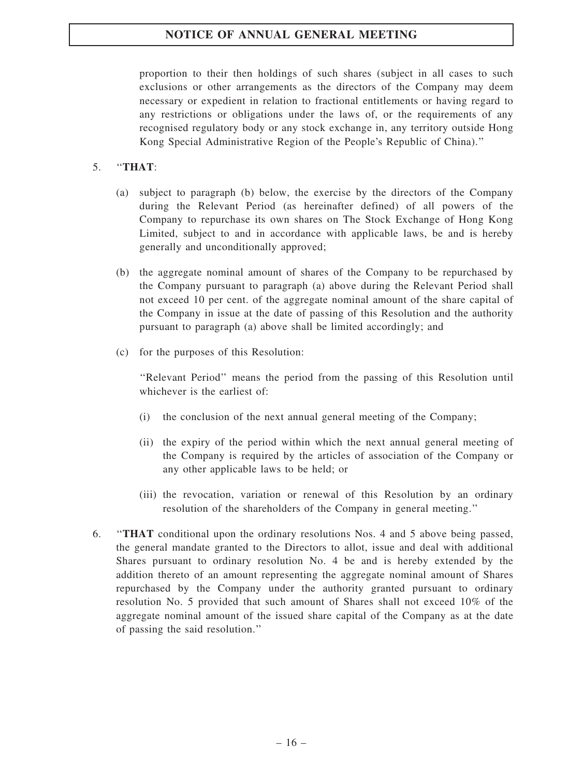proportion to their then holdings of such shares (subject in all cases to such exclusions or other arrangements as the directors of the Company may deem necessary or expedient in relation to fractional entitlements or having regard to any restrictions or obligations under the laws of, or the requirements of any recognised regulatory body or any stock exchange in, any territory outside Hong Kong Special Administrative Region of the People's Republic of China).''

### 5. ''THAT:

- (a) subject to paragraph (b) below, the exercise by the directors of the Company during the Relevant Period (as hereinafter defined) of all powers of the Company to repurchase its own shares on The Stock Exchange of Hong Kong Limited, subject to and in accordance with applicable laws, be and is hereby generally and unconditionally approved;
- (b) the aggregate nominal amount of shares of the Company to be repurchased by the Company pursuant to paragraph (a) above during the Relevant Period shall not exceed 10 per cent. of the aggregate nominal amount of the share capital of the Company in issue at the date of passing of this Resolution and the authority pursuant to paragraph (a) above shall be limited accordingly; and
- (c) for the purposes of this Resolution:

''Relevant Period'' means the period from the passing of this Resolution until whichever is the earliest of:

- (i) the conclusion of the next annual general meeting of the Company;
- (ii) the expiry of the period within which the next annual general meeting of the Company is required by the articles of association of the Company or any other applicable laws to be held; or
- (iii) the revocation, variation or renewal of this Resolution by an ordinary resolution of the shareholders of the Company in general meeting.''
- 6. ''THAT conditional upon the ordinary resolutions Nos. 4 and 5 above being passed, the general mandate granted to the Directors to allot, issue and deal with additional Shares pursuant to ordinary resolution No. 4 be and is hereby extended by the addition thereto of an amount representing the aggregate nominal amount of Shares repurchased by the Company under the authority granted pursuant to ordinary resolution No. 5 provided that such amount of Shares shall not exceed 10% of the aggregate nominal amount of the issued share capital of the Company as at the date of passing the said resolution.''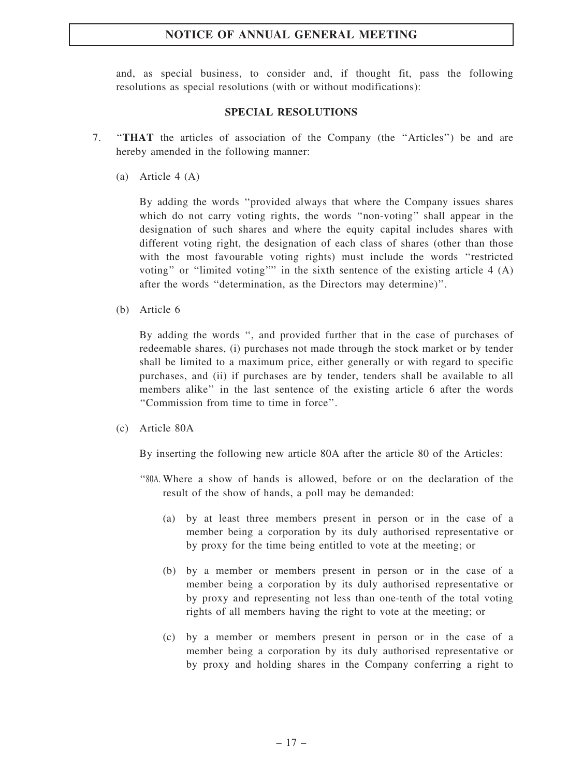and, as special business, to consider and, if thought fit, pass the following resolutions as special resolutions (with or without modifications):

#### SPECIAL RESOLUTIONS

- 7. ''THAT the articles of association of the Company (the ''Articles'') be and are hereby amended in the following manner:
	- (a) Article 4 (A)

By adding the words ''provided always that where the Company issues shares which do not carry voting rights, the words "non-voting" shall appear in the designation of such shares and where the equity capital includes shares with different voting right, the designation of each class of shares (other than those with the most favourable voting rights) must include the words "restricted" voting'' or ''limited voting'''' in the sixth sentence of the existing article 4 (A) after the words ''determination, as the Directors may determine)''.

(b) Article 6

By adding the words '', and provided further that in the case of purchases of redeemable shares, (i) purchases not made through the stock market or by tender shall be limited to a maximum price, either generally or with regard to specific purchases, and (ii) if purchases are by tender, tenders shall be available to all members alike'' in the last sentence of the existing article 6 after the words ''Commission from time to time in force''.

(c) Article 80A

By inserting the following new article 80A after the article 80 of the Articles:

- ''80A. Where a show of hands is allowed, before or on the declaration of the result of the show of hands, a poll may be demanded:
	- (a) by at least three members present in person or in the case of a member being a corporation by its duly authorised representative or by proxy for the time being entitled to vote at the meeting; or
	- (b) by a member or members present in person or in the case of a member being a corporation by its duly authorised representative or by proxy and representing not less than one-tenth of the total voting rights of all members having the right to vote at the meeting; or
	- (c) by a member or members present in person or in the case of a member being a corporation by its duly authorised representative or by proxy and holding shares in the Company conferring a right to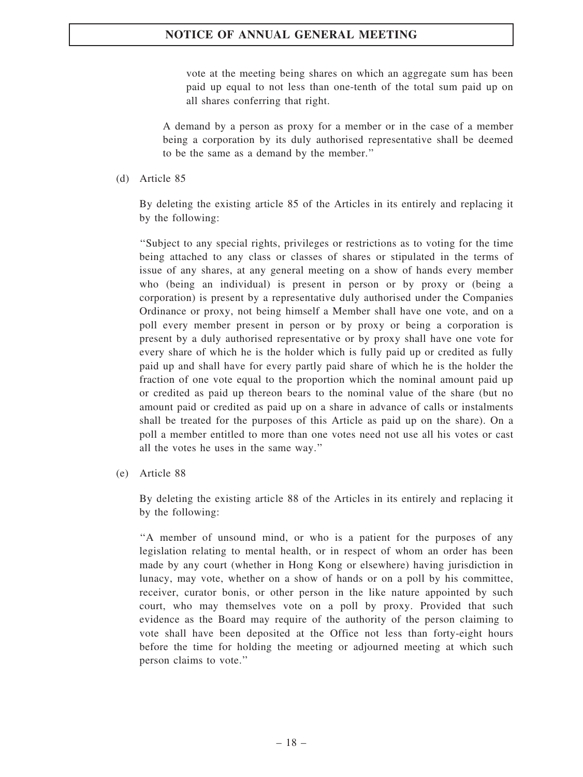vote at the meeting being shares on which an aggregate sum has been paid up equal to not less than one-tenth of the total sum paid up on all shares conferring that right.

A demand by a person as proxy for a member or in the case of a member being a corporation by its duly authorised representative shall be deemed to be the same as a demand by the member.''

(d) Article 85

By deleting the existing article 85 of the Articles in its entirely and replacing it by the following:

''Subject to any special rights, privileges or restrictions as to voting for the time being attached to any class or classes of shares or stipulated in the terms of issue of any shares, at any general meeting on a show of hands every member who (being an individual) is present in person or by proxy or (being a corporation) is present by a representative duly authorised under the Companies Ordinance or proxy, not being himself a Member shall have one vote, and on a poll every member present in person or by proxy or being a corporation is present by a duly authorised representative or by proxy shall have one vote for every share of which he is the holder which is fully paid up or credited as fully paid up and shall have for every partly paid share of which he is the holder the fraction of one vote equal to the proportion which the nominal amount paid up or credited as paid up thereon bears to the nominal value of the share (but no amount paid or credited as paid up on a share in advance of calls or instalments shall be treated for the purposes of this Article as paid up on the share). On a poll a member entitled to more than one votes need not use all his votes or cast all the votes he uses in the same way.''

(e) Article 88

By deleting the existing article 88 of the Articles in its entirely and replacing it by the following:

''A member of unsound mind, or who is a patient for the purposes of any legislation relating to mental health, or in respect of whom an order has been made by any court (whether in Hong Kong or elsewhere) having jurisdiction in lunacy, may vote, whether on a show of hands or on a poll by his committee, receiver, curator bonis, or other person in the like nature appointed by such court, who may themselves vote on a poll by proxy. Provided that such evidence as the Board may require of the authority of the person claiming to vote shall have been deposited at the Office not less than forty-eight hours before the time for holding the meeting or adjourned meeting at which such person claims to vote.''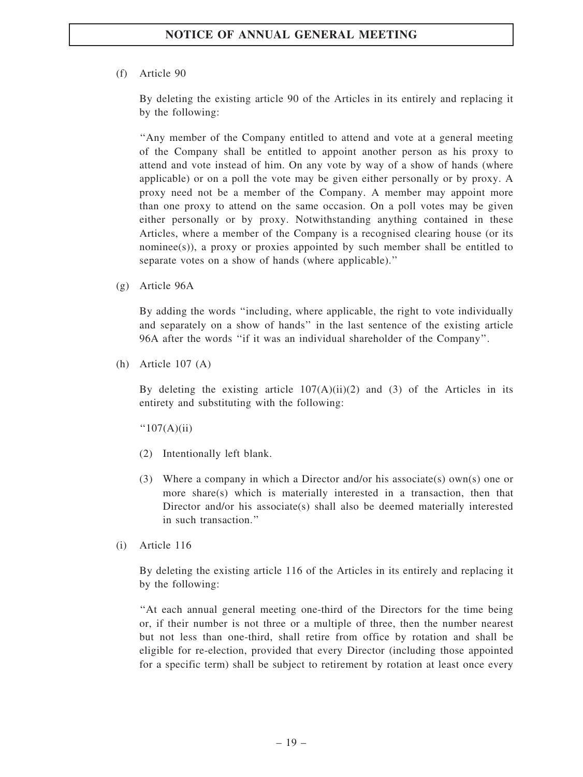### (f) Article 90

By deleting the existing article 90 of the Articles in its entirely and replacing it by the following:

''Any member of the Company entitled to attend and vote at a general meeting of the Company shall be entitled to appoint another person as his proxy to attend and vote instead of him. On any vote by way of a show of hands (where applicable) or on a poll the vote may be given either personally or by proxy. A proxy need not be a member of the Company. A member may appoint more than one proxy to attend on the same occasion. On a poll votes may be given either personally or by proxy. Notwithstanding anything contained in these Articles, where a member of the Company is a recognised clearing house (or its nominee(s)), a proxy or proxies appointed by such member shall be entitled to separate votes on a show of hands (where applicable).''

(g) Article 96A

By adding the words ''including, where applicable, the right to vote individually and separately on a show of hands'' in the last sentence of the existing article 96A after the words ''if it was an individual shareholder of the Company''.

(h) Article 107 (A)

By deleting the existing article  $107(A)(ii)(2)$  and (3) of the Articles in its entirety and substituting with the following:

 $"107(A)(ii)$ 

- (2) Intentionally left blank.
- (3) Where a company in which a Director and/or his associate(s) own(s) one or more share(s) which is materially interested in a transaction, then that Director and/or his associate(s) shall also be deemed materially interested in such transaction.''
- (i) Article 116

By deleting the existing article 116 of the Articles in its entirely and replacing it by the following:

''At each annual general meeting one-third of the Directors for the time being or, if their number is not three or a multiple of three, then the number nearest but not less than one-third, shall retire from office by rotation and shall be eligible for re-election, provided that every Director (including those appointed for a specific term) shall be subject to retirement by rotation at least once every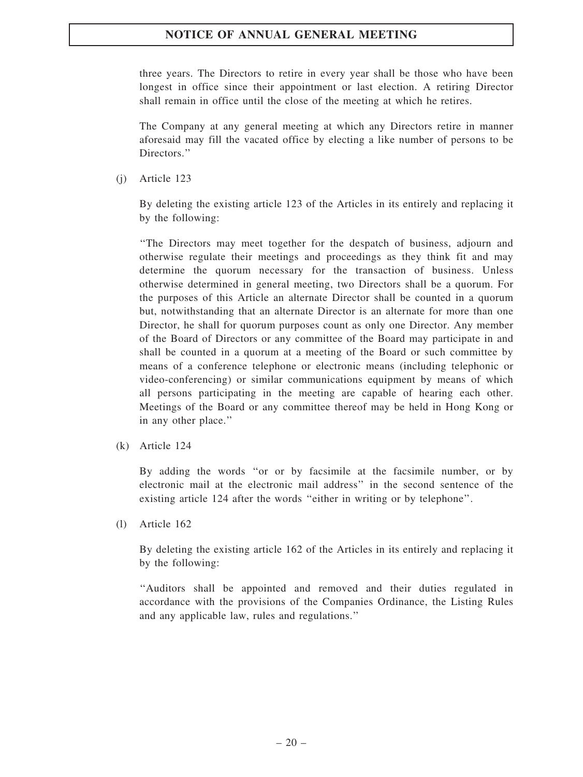three years. The Directors to retire in every year shall be those who have been longest in office since their appointment or last election. A retiring Director shall remain in office until the close of the meeting at which he retires.

The Company at any general meeting at which any Directors retire in manner aforesaid may fill the vacated office by electing a like number of persons to be Directors."

(j) Article 123

By deleting the existing article 123 of the Articles in its entirely and replacing it by the following:

''The Directors may meet together for the despatch of business, adjourn and otherwise regulate their meetings and proceedings as they think fit and may determine the quorum necessary for the transaction of business. Unless otherwise determined in general meeting, two Directors shall be a quorum. For the purposes of this Article an alternate Director shall be counted in a quorum but, notwithstanding that an alternate Director is an alternate for more than one Director, he shall for quorum purposes count as only one Director. Any member of the Board of Directors or any committee of the Board may participate in and shall be counted in a quorum at a meeting of the Board or such committee by means of a conference telephone or electronic means (including telephonic or video-conferencing) or similar communications equipment by means of which all persons participating in the meeting are capable of hearing each other. Meetings of the Board or any committee thereof may be held in Hong Kong or in any other place.''

(k) Article 124

By adding the words ''or or by facsimile at the facsimile number, or by electronic mail at the electronic mail address'' in the second sentence of the existing article 124 after the words ''either in writing or by telephone''.

(l) Article 162

By deleting the existing article 162 of the Articles in its entirely and replacing it by the following:

''Auditors shall be appointed and removed and their duties regulated in accordance with the provisions of the Companies Ordinance, the Listing Rules and any applicable law, rules and regulations.''